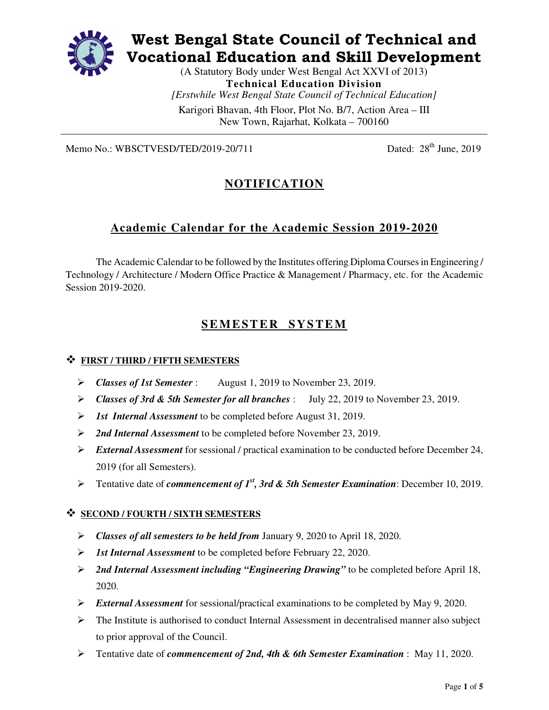

# **West Bengal State Council of Technical and Vocational Education and Skill Development**

(A Statutory Body under West Bengal Act XXVI of 2013) **Technical Education Division**  *[Erstwhile West Bengal State Council of Technical Education]*  Karigori Bhavan, 4th Floor, Plot No. B/7, Action Area – III

New Town, Rajarhat, Kolkata – 700160

Memo No.: WBSCTVESD/TED/2019-20/711 Dated:  $28<sup>th</sup>$  June, 2019

# **NOTIFICATION**

# **Academic Calendar for the Academic Session 2019-2020**

The Academic Calendar to be followed by the Institutes offering Diploma Courses in Engineering / Technology / Architecture / Modern Office Practice & Management / Pharmacy, etc. for the Academic Session 2019-2020.

# **S E M E S T E R S Y S T E M**

## **FIRST / THIRD / FIFTH SEMESTERS**

- $\triangleright$  Classes of 1st Semester : August 1, 2019 to November 23, 2019.
- *Classes of 3rd & 5th Semester for all branches* : July 22, 2019 to November 23, 2019.
- *1st Internal Assessment* to be completed before August 31, 2019.
- *2nd Internal Assessment* to be completed before November 23, 2019.
- *External Assessment* for sessional / practical examination to be conducted before December 24, 2019 (for all Semesters).
- Tentative date of *commencement of 1st, 3rd & 5th Semester Examination*: December 10, 2019.

### **SECOND / FOURTH / SIXTH SEMESTERS**

- *Classes of all semesters to be held from* January 9, 2020 to April 18, 2020.
- *1st Internal Assessment* to be completed before February 22, 2020.
- *2nd Internal Assessment including "Engineering Drawing"* to be completed before April 18, 2020.
- *External Assessment* for sessional/practical examinations to be completed by May 9, 2020.
- > The Institute is authorised to conduct Internal Assessment in decentralised manner also subject to prior approval of the Council.
- Tentative date of *commencement of 2nd, 4th & 6th Semester Examination* : May 11, 2020.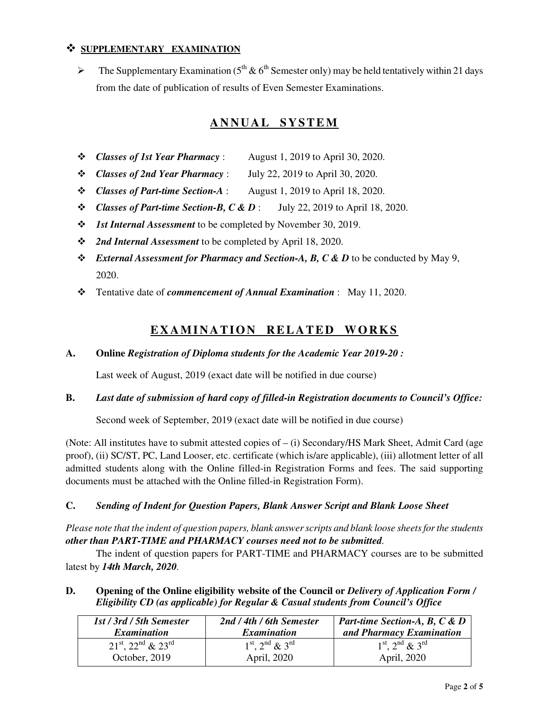# **SUPPLEMENTARY EXAMINATION**

 $\blacktriangleright$ The Supplementary Examination ( $5<sup>th</sup>$  &  $6<sup>th</sup>$  Semester only) may be held tentatively within 21 days from the date of publication of results of Even Semester Examinations.

# **A N N U A L S Y S T E M**

- *Classes of 1st Year Pharmacy* : August 1, 2019 to April 30, 2020.
- *Classes of 2nd Year Pharmacy* : July 22, 2019 to April 30, 2020.
- *Classes of Part-time Section-A* : August 1, 2019 to April 18, 2020.
- *Classes of Part-time Section-B, C & D* : July 22, 2019 to April 18, 2020.
- *1st Internal Assessment* to be completed by November 30, 2019.
- *2nd Internal Assessment* to be completed by April 18, 2020.
- $\div$  *External Assessment for Pharmacy and Section-A, B, C & D to be conducted by May 9,* 2020.
- Tentative date of *commencement of Annual Examination* : May 11, 2020.

# **EXAMINATION RELATED WORKS**

#### **A. Online** *Registration of Diploma students for the Academic Year 2019-20 :*

Last week of August, 2019 (exact date will be notified in due course)

#### **B.** *Last date of submission of hard copy of filled-in Registration documents to Council's Office:*

Second week of September, 2019 (exact date will be notified in due course)

(Note: All institutes have to submit attested copies of – (i) Secondary/HS Mark Sheet, Admit Card (age proof), (ii) SC/ST, PC, Land Looser, etc. certificate (which is/are applicable), (iii) allotment letter of all admitted students along with the Online filled-in Registration Forms and fees. The said supporting documents must be attached with the Online filled-in Registration Form).

#### **C.** *Sending of Indent for Question Papers, Blank Answer Script and Blank Loose Sheet*

*Please note that the indent of question papers, blank answer scripts and blank loose sheets for the students other than PART-TIME and PHARMACY courses need not to be submitted.* 

The indent of question papers for PART-TIME and PHARMACY courses are to be submitted latest by *14th March, 2020.* 

**D. Opening of the Online eligibility website of the Council or** *Delivery of Application Form / Eligibility CD (as applicable) for Regular & Casual students from Council's Office* 

| 1st / 3rd / 5th Semester                      | 2nd / 4th / 6th Semester       | <b>Part-time Section-A, B, C &amp; D</b>            |
|-----------------------------------------------|--------------------------------|-----------------------------------------------------|
| <i>Examination</i>                            | <i>Examination</i>             | and Pharmacy Examination                            |
| $21^{\rm st}$ , $22^{\rm nd}$ & $23^{\rm rd}$ | $1^{st}$ , $2^{nd}$ & $3^{rd}$ | $1^{\text{st}}$ , $2^{\text{nd}}$ & $3^{\text{rd}}$ |
| October, 2019                                 | April, 2020                    | April, 2020                                         |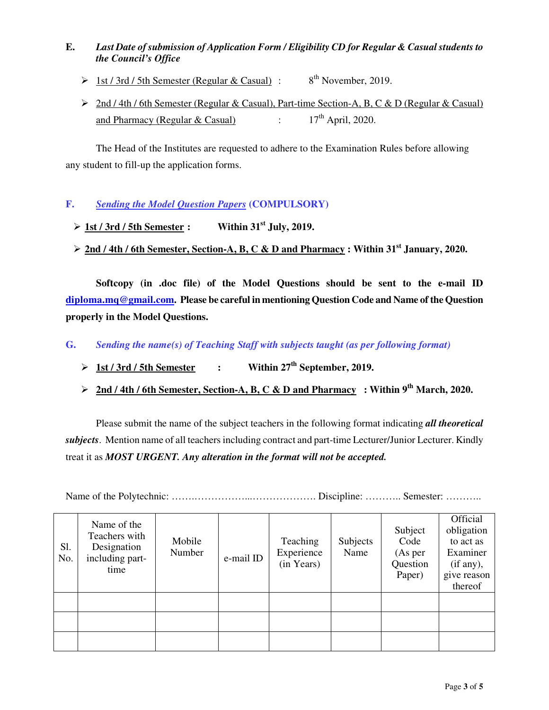# **E.** *Last Date of submission of Application Form / Eligibility CD for Regular & Casual students to the Council's Office*

- $\triangleright$  1st / 3rd / 5th Semester (Regular & Casual) : 8<sup>th</sup> November, 2019.
- ▶ 2nd / 4th / 6th Semester (Regular & Casual), Part-time Section-A, B, C & D (Regular & Casual) and Pharmacy (Regular & Casual) :  $17<sup>th</sup>$  April, 2020.

The Head of the Institutes are requested to adhere to the Examination Rules before allowing any student to fill-up the application forms.

- **F.** *Sending the Model Question Papers* **(COMPULSORY)** 
	- $\geq \frac{1st / 3rd / 5th$  Semester: Within 31<sup>st</sup> July, 2019.
	- **2nd / 4th / 6th Semester, Section-A, B, C & D and Pharmacy : Within 31st January, 2020.**

**Softcopy (in .doc file) of the Model Questions should be sent to the e-mail ID diploma.mq@gmail.com. Please be careful in mentioning Question Code and Name of the Question properly in the Model Questions.** 

**G.** *Sending the name(s) of Teaching Staff with subjects taught (as per following format)* 

- $>1st/3rd/5th$  Semester  $\cdot$  Within  $27<sup>th</sup>$  September, 2019.
- ▶ 2nd / 4th / 6th Semester, Section-A, B, C & D and Pharmacy : Within 9<sup>th</sup> March, 2020.

Please submit the name of the subject teachers in the following format indicating *all theoretical subjects*. Mention name of all teachers including contract and part-time Lecturer/Junior Lecturer. Kindly treat it as *MOST URGENT. Any alteration in the format will not be accepted.* 

Name of the Polytechnic: …….……………...………………. Discipline: ……….. Semester: ………..

| Sl.<br>No. | Name of the<br>Teachers with<br>Designation<br>including part-<br>time | Mobile<br>Number | e-mail ID | Teaching<br>Experience<br>(in Years) | Subjects<br>Name | Subject<br>Code<br>(As per)<br>Question<br>Paper) | Official<br>obligation<br>to act as<br>Examiner<br>(if any),<br>give reason<br>thereof |
|------------|------------------------------------------------------------------------|------------------|-----------|--------------------------------------|------------------|---------------------------------------------------|----------------------------------------------------------------------------------------|
|            |                                                                        |                  |           |                                      |                  |                                                   |                                                                                        |
|            |                                                                        |                  |           |                                      |                  |                                                   |                                                                                        |
|            |                                                                        |                  |           |                                      |                  |                                                   |                                                                                        |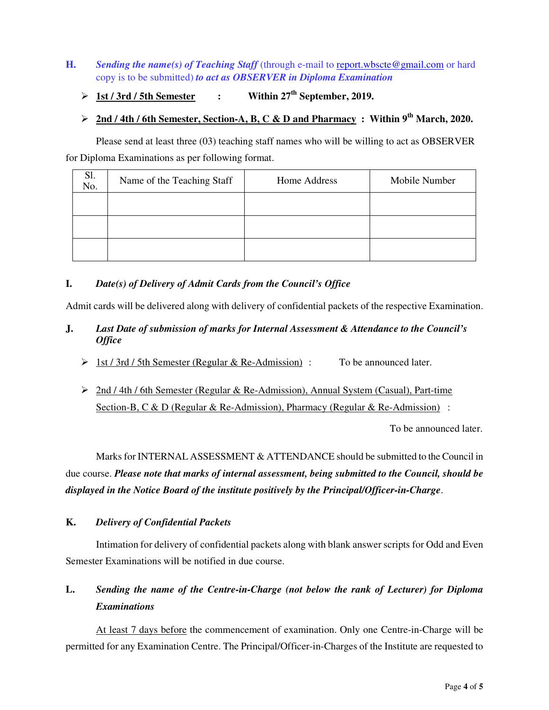## **H.** *Sending the name(s) of Teaching Staff* (through e-mail to report.wbscte@gmail.com or hard copy is to be submitted) *to act as OBSERVER in Diploma Examination*

 $\triangleright$  1st / 3rd / 5th Semester : Within 27<sup>th</sup> September, 2019.

# - **2nd / 4th / 6th Semester, Section-A, B, C & D and Pharmacy : Within 9th March, 2020.**

Please send at least three (03) teaching staff names who will be willing to act as OBSERVER for Diploma Examinations as per following format.

| Sl.<br>No. | Name of the Teaching Staff | Home Address | Mobile Number |
|------------|----------------------------|--------------|---------------|
|            |                            |              |               |
|            |                            |              |               |
|            |                            |              |               |

# **I.** *Date(s) of Delivery of Admit Cards from the Council's Office*

Admit cards will be delivered along with delivery of confidential packets of the respective Examination.

## **J.** *Last Date of submission of marks for Internal Assessment & Attendance to the Council's Office*

- $\geq 1$ st / 3rd / 5th Semester (Regular & Re-Admission) : To be announced later.
- ▶ 2nd / 4th / 6th Semester (Regular & Re-Admission), Annual System (Casual), Part-time Section-B, C & D (Regular & Re-Admission), Pharmacy (Regular & Re-Admission) :

To be announced later.

Marks for INTERNAL ASSESSMENT & ATTENDANCE should be submitted to the Council in due course. *Please note that marks of internal assessment, being submitted to the Council, should be displayed in the Notice Board of the institute positively by the Principal/Officer-in-Charge*.

### **K.** *Delivery of Confidential Packets*

Intimation for delivery of confidential packets along with blank answer scripts for Odd and Even Semester Examinations will be notified in due course.

# **L.** *Sending the name of the Centre-in-Charge (not below the rank of Lecturer) for Diploma Examinations*

At least 7 days before the commencement of examination. Only one Centre-in-Charge will be permitted for any Examination Centre. The Principal/Officer-in-Charges of the Institute are requested to